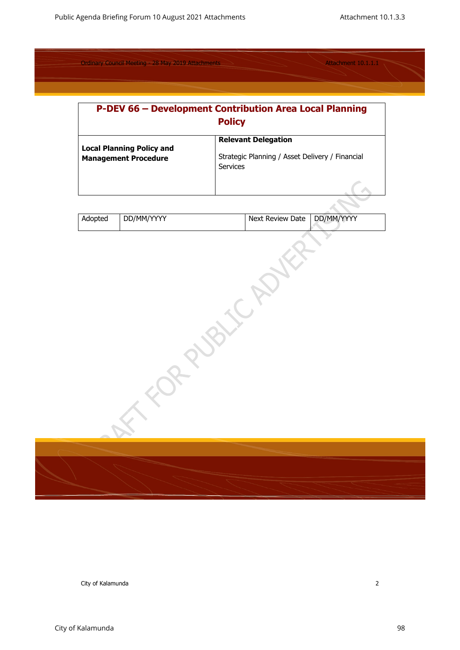| <b>P-DEV 66 - Development Contribution Area Local Planning</b><br><b>Policy</b> |                                                                                           |  |  |
|---------------------------------------------------------------------------------|-------------------------------------------------------------------------------------------|--|--|
| <b>Local Planning Policy and</b><br><b>Management Procedure</b>                 | <b>Relevant Delegation</b><br>Strategic Planning / Asset Delivery / Financial<br>Services |  |  |
|                                                                                 |                                                                                           |  |  |

| Adopted | DD/MM/YYYY | Next Review Date   DD/MM/YYYY |  |
|---------|------------|-------------------------------|--|
|         |            |                               |  |

| RRANE | $\left( \begin{array}{c} 0 \end{array} \right)$<br>$\sim$ |
|-------|-----------------------------------------------------------|
|       |                                                           |
|       |                                                           |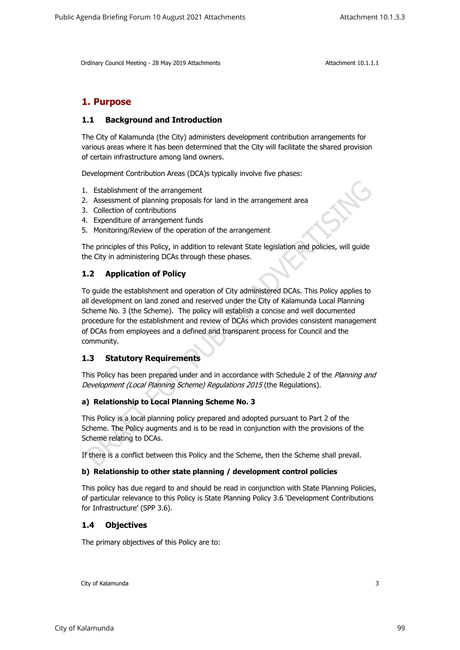# **1. Purpose**

## **1.1 Background and Introduction**

The City of Kalamunda (the City) administers development contribution arrangements for various areas where it has been determined that the City will facilitate the shared provision of certain infrastructure among land owners.

Development Contribution Areas (DCA)s typically involve five phases:

- 1. Establishment of the arrangement
- 2. Assessment of planning proposals for land in the arrangement area
- 3. Collection of contributions
- 4. Expenditure of arrangement funds
- 5. Monitoring/Review of the operation of the arrangement

The principles of this Policy, in addition to relevant State legislation and policies, will guide the City in administering DCAs through these phases.

# **1.2 Application of Policy**

To guide the establishment and operation of City administered DCAs. This Policy applies to all development on land zoned and reserved under the City of Kalamunda Local Planning Scheme No. 3 (the Scheme). The policy will establish a concise and well documented procedure for the establishment and review of DCAs which provides consistent management of DCAs from employees and a defined and transparent process for Council and the community.

## **1.3 Statutory Requirements**

This Policy has been prepared under and in accordance with Schedule 2 of the *Planning and Development (Local Planning Scheme) Regulations 2015* (the Regulations).

## **a) Relationship to Local Planning Scheme No. 3**

This Policy is a local planning policy prepared and adopted pursuant to Part 2 of the Scheme. The Policy augments and is to be read in conjunction with the provisions of the Scheme relating to DCAs.

If there is a conflict between this Policy and the Scheme, then the Scheme shall prevail.

#### **b) Relationship to other state planning / development control policies**

This policy has due regard to and should be read in conjunction with State Planning Policies, of particular relevance to this Policy is State Planning Policy 3.6 'Development Contributions for Infrastructure' (SPP 3.6).

## **1.4 Objectives**

The primary objectives of this Policy are to: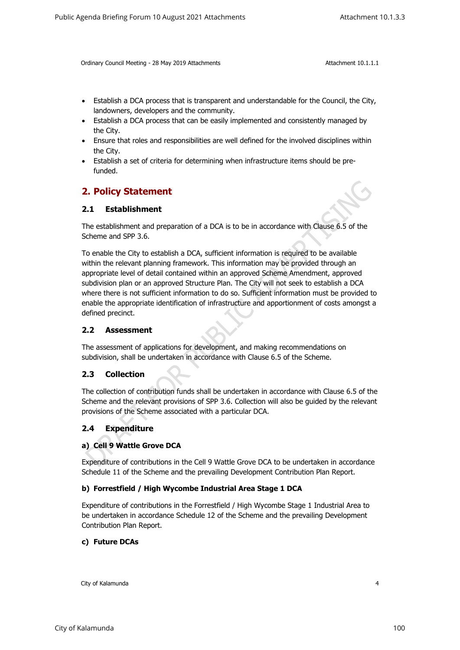- Establish a DCA process that is transparent and understandable for the Council, the City, landowners, developers and the community.
- Establish a DCA process that can be easily implemented and consistently managed by the City.
- Ensure that roles and responsibilities are well defined for the involved disciplines within the City.
- Establish a set of criteria for determining when infrastructure items should be prefunded.

# **2. Policy Statement**

## **2.1 Establishment**

The establishment and preparation of a DCA is to be in accordance with Clause 6.5 of the Scheme and SPP 3.6.

To enable the City to establish a DCA, sufficient information is required to be available within the relevant planning framework. This information may be provided through an appropriate level of detail contained within an approved Scheme Amendment, approved subdivision plan or an approved Structure Plan. The City will not seek to establish a DCA where there is not sufficient information to do so. Sufficient information must be provided to enable the appropriate identification of infrastructure and apportionment of costs amongst a defined precinct.

## **2.2 Assessment**

The assessment of applications for development, and making recommendations on subdivision, shall be undertaken in accordance with Clause 6.5 of the Scheme.

## **2.3 Collection**

The collection of contribution funds shall be undertaken in accordance with Clause 6.5 of the Scheme and the relevant provisions of SPP 3.6. Collection will also be guided by the relevant provisions of the Scheme associated with a particular DCA.

## **2.4 Expenditure**

#### **a) Cell 9 Wattle Grove DCA**

Expenditure of contributions in the Cell 9 Wattle Grove DCA to be undertaken in accordance Schedule 11 of the Scheme and the prevailing Development Contribution Plan Report.

#### **b) Forrestfield / High Wycombe Industrial Area Stage 1 DCA**

Expenditure of contributions in the Forrestfield / High Wycombe Stage 1 Industrial Area to be undertaken in accordance Schedule 12 of the Scheme and the prevailing Development Contribution Plan Report.

#### **c) Future DCAs**

City of Kalamunda 4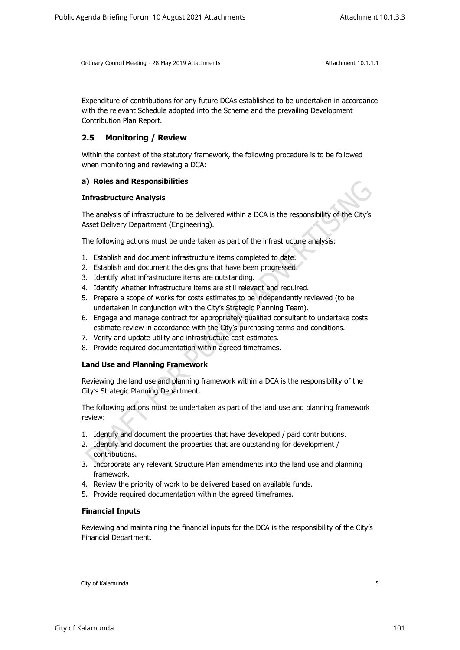Expenditure of contributions for any future DCAs established to be undertaken in accordance with the relevant Schedule adopted into the Scheme and the prevailing Development Contribution Plan Report.

# **2.5 Monitoring / Review**

Within the context of the statutory framework, the following procedure is to be followed when monitoring and reviewing a DCA:

#### **a) Roles and Responsibilities**

#### **Infrastructure Analysis**

The analysis of infrastructure to be delivered within a DCA is the responsibility of the City's Asset Delivery Department (Engineering).

The following actions must be undertaken as part of the infrastructure analysis:

- 1. Establish and document infrastructure items completed to date.
- 2. Establish and document the designs that have been progressed.
- 3. Identify what infrastructure items are outstanding.
- 4. Identify whether infrastructure items are still relevant and required.
- 5. Prepare a scope of works for costs estimates to be independently reviewed (to be undertaken in conjunction with the City's Strategic Planning Team).
- 6. Engage and manage contract for appropriately qualified consultant to undertake costs estimate review in accordance with the City's purchasing terms and conditions.
- 7. Verify and update utility and infrastructure cost estimates.
- 8. Provide required documentation within agreed timeframes.

#### **Land Use and Planning Framework**

Reviewing the land use and planning framework within a DCA is the responsibility of the City's Strategic Planning Department.

The following actions must be undertaken as part of the land use and planning framework review:

- 1. Identify and document the properties that have developed / paid contributions.
- 2. Identify and document the properties that are outstanding for development / contributions.
- 3. Incorporate any relevant Structure Plan amendments into the land use and planning framework.
- 4. Review the priority of work to be delivered based on available funds.
- 5. Provide required documentation within the agreed timeframes.

#### **Financial Inputs**

Reviewing and maintaining the financial inputs for the DCA is the responsibility of the City's Financial Department.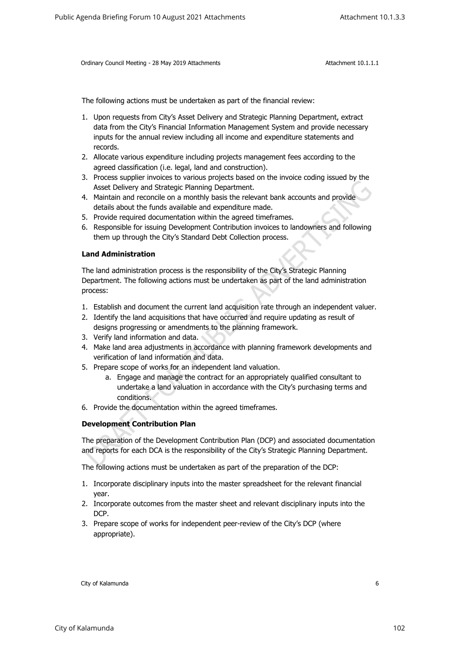The following actions must be undertaken as part of the financial review:

- 1. Upon requests from City's Asset Delivery and Strategic Planning Department, extract data from the City's Financial Information Management System and provide necessary inputs for the annual review including all income and expenditure statements and records.
- 2. Allocate various expenditure including projects management fees according to the agreed classification (i.e. legal, land and construction).
- 3. Process supplier invoices to various projects based on the invoice coding issued by the Asset Delivery and Strategic Planning Department.
- 4. Maintain and reconcile on a monthly basis the relevant bank accounts and provide details about the funds available and expenditure made.
- 5. Provide required documentation within the agreed timeframes.
- 6. Responsible for issuing Development Contribution invoices to landowners and following them up through the City's Standard Debt Collection process.

#### **Land Administration**

The land administration process is the responsibility of the City's Strategic Planning Department. The following actions must be undertaken as part of the land administration process:

- 1. Establish and document the current land acquisition rate through an independent valuer.
- 2. Identify the land acquisitions that have occurred and require updating as result of designs progressing or amendments to the planning framework.
- 3. Verify land information and data.
- 4. Make land area adjustments in accordance with planning framework developments and verification of land information and data.
- 5. Prepare scope of works for an independent land valuation.
	- a. Engage and manage the contract for an appropriately qualified consultant to undertake a land valuation in accordance with the City's purchasing terms and conditions.
- 6. Provide the documentation within the agreed timeframes.

#### **Development Contribution Plan**

The preparation of the Development Contribution Plan (DCP) and associated documentation and reports for each DCA is the responsibility of the City's Strategic Planning Department.

The following actions must be undertaken as part of the preparation of the DCP:

- 1. Incorporate disciplinary inputs into the master spreadsheet for the relevant financial year.
- 2. Incorporate outcomes from the master sheet and relevant disciplinary inputs into the DCP.
- 3. Prepare scope of works for independent peer-review of the City's DCP (where appropriate).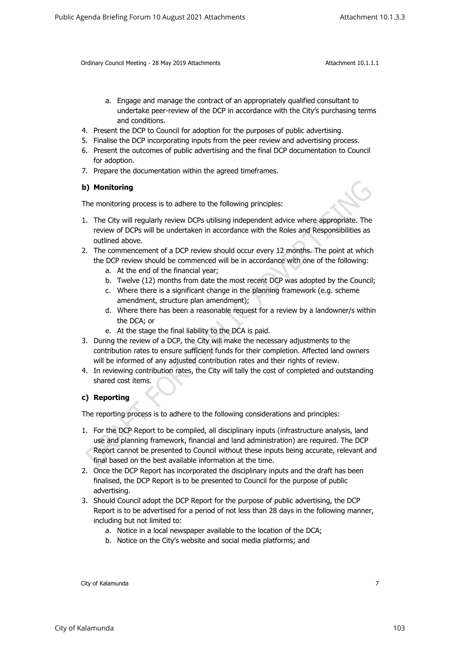- a. Engage and manage the contract of an appropriately qualified consultant to undertake peer-review of the DCP in accordance with the City's purchasing terms and conditions.
- 4. Present the DCP to Council for adoption for the purposes of public advertising.
- 5. Finalise the DCP incorporating inputs from the peer review and advertising process.
- 6. Present the outcomes of public advertising and the final DCP documentation to Council for adoption.
- 7. Prepare the documentation within the agreed timeframes.

#### **b) Monitoring**

The monitoring process is to adhere to the following principles:

- 1. The City will regularly review DCPs utilising independent advice where appropriate. The review of DCPs will be undertaken in accordance with the Roles and Responsibilities as outlined above.
- 2. The commencement of a DCP review should occur every 12 months. The point at which the DCP review should be commenced will be in accordance with one of the following:
	- a. At the end of the financial year;
	- b. Twelve (12) months from date the most recent DCP was adopted by the Council;
	- c. Where there is a significant change in the planning framework (e.g. scheme amendment, structure plan amendment);
	- d. Where there has been a reasonable request for a review by a landowner/s within the DCA; or
	- e. At the stage the final liability to the DCA is paid.
- 3. During the review of a DCP, the City will make the necessary adjustments to the contribution rates to ensure sufficient funds for their completion. Affected land owners will be informed of any adjusted contribution rates and their rights of review.
- 4. In reviewing contribution rates, the City will tally the cost of completed and outstanding shared cost items.

## **c) Reporting**

The reporting process is to adhere to the following considerations and principles:

- 1. For the DCP Report to be compiled, all disciplinary inputs (infrastructure analysis, land use and planning framework, financial and land administration) are required. The DCP Report cannot be presented to Council without these inputs being accurate, relevant and final based on the best available information at the time.
- 2. Once the DCP Report has incorporated the disciplinary inputs and the draft has been finalised, the DCP Report is to be presented to Council for the purpose of public advertising.
- 3. Should Council adopt the DCP Report for the purpose of public advertising, the DCP Report is to be advertised for a period of not less than 28 days in the following manner, including but not limited to:
	- a. Notice in a local newspaper available to the location of the DCA;
	- b. Notice on the City's website and social media platforms; and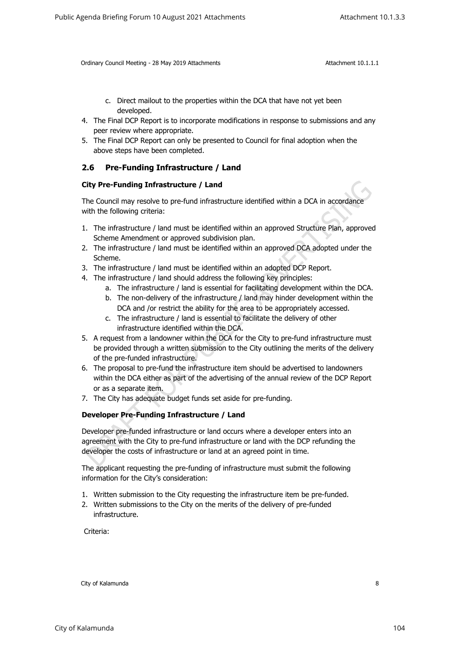- c. Direct mailout to the properties within the DCA that have not yet been developed.
- 4. The Final DCP Report is to incorporate modifications in response to submissions and any peer review where appropriate.
- 5. The Final DCP Report can only be presented to Council for final adoption when the above steps have been completed.

# **2.6 Pre-Funding Infrastructure / Land**

#### **City Pre-Funding Infrastructure / Land**

The Council may resolve to pre-fund infrastructure identified within a DCA in accordance with the following criteria:

- 1. The infrastructure / land must be identified within an approved Structure Plan, approved Scheme Amendment or approved subdivision plan.
- 2. The infrastructure / land must be identified within an approved DCA adopted under the Scheme.
- 3. The infrastructure / land must be identified within an adopted DCP Report.
- 4. The infrastructure / land should address the following key principles:
	- a. The infrastructure / land is essential for facilitating development within the DCA.
	- b. The non-delivery of the infrastructure / land may hinder development within the DCA and /or restrict the ability for the area to be appropriately accessed.
	- c. The infrastructure / land is essential to facilitate the delivery of other infrastructure identified within the DCA.
- 5. A request from a landowner within the DCA for the City to pre-fund infrastructure must be provided through a written submission to the City outlining the merits of the delivery of the pre-funded infrastructure.
- 6. The proposal to pre-fund the infrastructure item should be advertised to landowners within the DCA either as part of the advertising of the annual review of the DCP Report or as a separate item.
- 7. The City has adequate budget funds set aside for pre-funding.

## **Developer Pre-Funding Infrastructure / Land**

Developer pre-funded infrastructure or land occurs where a developer enters into an agreement with the City to pre-fund infrastructure or land with the DCP refunding the developer the costs of infrastructure or land at an agreed point in time.

The applicant requesting the pre-funding of infrastructure must submit the following information for the City's consideration:

- 1. Written submission to the City requesting the infrastructure item be pre-funded.
- 2. Written submissions to the City on the merits of the delivery of pre-funded infrastructure.

Criteria: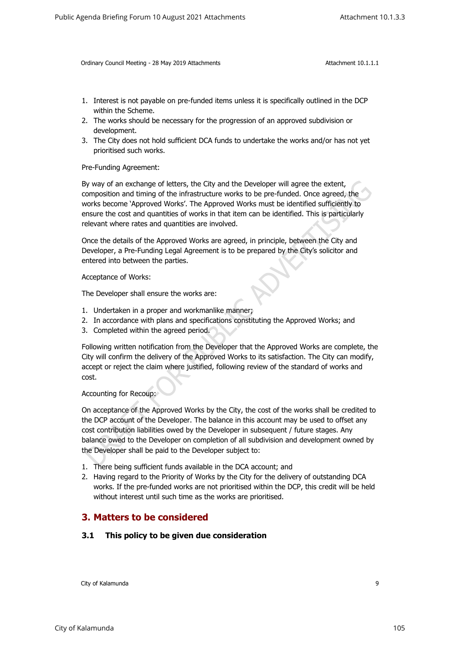- 1. Interest is not payable on pre-funded items unless it is specifically outlined in the DCP within the Scheme.
- 2. The works should be necessary for the progression of an approved subdivision or development.
- 3. The City does not hold sufficient DCA funds to undertake the works and/or has not yet prioritised such works.

Pre-Funding Agreement:

By way of an exchange of letters, the City and the Developer will agree the extent, composition and timing of the infrastructure works to be pre-funded. Once agreed, the works become 'Approved Works'. The Approved Works must be identified sufficiently to ensure the cost and quantities of works in that item can be identified. This is particularly relevant where rates and quantities are involved.

Once the details of the Approved Works are agreed, in principle, between the City and Developer, a Pre-Funding Legal Agreement is to be prepared by the City's solicitor and entered into between the parties.

Acceptance of Works:

The Developer shall ensure the works are:

- 1. Undertaken in a proper and workmanlike manner;
- 2. In accordance with plans and specifications constituting the Approved Works; and
- 3. Completed within the agreed period.

Following written notification from the Developer that the Approved Works are complete, the City will confirm the delivery of the Approved Works to its satisfaction. The City can modify, accept or reject the claim where justified, following review of the standard of works and cost.

Accounting for Recoup:

On acceptance of the Approved Works by the City, the cost of the works shall be credited to the DCP account of the Developer. The balance in this account may be used to offset any cost contribution liabilities owed by the Developer in subsequent / future stages. Any balance owed to the Developer on completion of all subdivision and development owned by the Developer shall be paid to the Developer subject to:

- 1. There being sufficient funds available in the DCA account; and
- 2. Having regard to the Priority of Works by the City for the delivery of outstanding DCA works. If the pre-funded works are not prioritised within the DCP, this credit will be held without interest until such time as the works are prioritised.

# **3. Matters to be considered**

## **3.1 This policy to be given due consideration**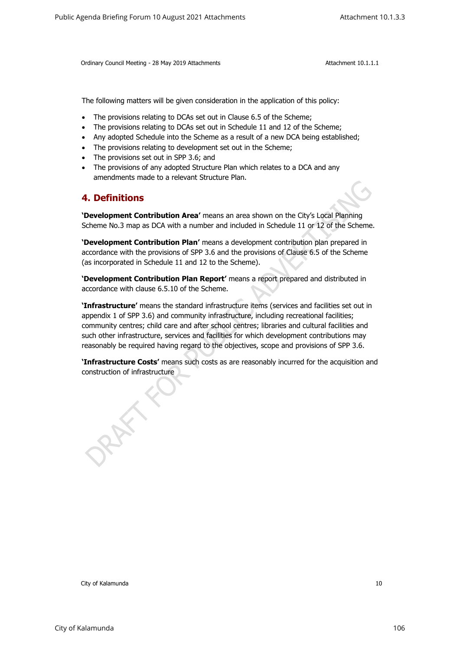The following matters will be given consideration in the application of this policy:

- The provisions relating to DCAs set out in Clause 6.5 of the Scheme;
- The provisions relating to DCAs set out in Schedule 11 and 12 of the Scheme;
- Any adopted Schedule into the Scheme as a result of a new DCA being established;
- The provisions relating to development set out in the Scheme;
- The provisions set out in SPP 3.6; and
- The provisions of any adopted Structure Plan which relates to a DCA and any amendments made to a relevant Structure Plan.

# **4. Definitions**

**'Development Contribution Area'** means an area shown on the City's Local Planning Scheme No.3 map as DCA with a number and included in Schedule 11 or 12 of the Scheme.

**'Development Contribution Plan'** means a development contribution plan prepared in accordance with the provisions of SPP 3.6 and the provisions of Clause 6.5 of the Scheme (as incorporated in Schedule 11 and 12 to the Scheme).

**'Development Contribution Plan Report'** means a report prepared and distributed in accordance with clause 6.5.10 of the Scheme.

**'Infrastructure'** means the standard infrastructure items (services and facilities set out in appendix 1 of SPP 3.6) and community infrastructure, including recreational facilities; community centres; child care and after school centres; libraries and cultural facilities and such other infrastructure, services and facilities for which development contributions may reasonably be required having regard to the objectives, scope and provisions of SPP 3.6. Attachment Controller City of Kalamunda 10 Public Agents 2021 Attachment 10.1.3.3<br>
Collery Court Presium - 20 Mer 2018 Attachments<br>
The following matters will be given constituted in the application of this process.<br>
The p

**'Infrastructure Costs'** means such costs as are reasonably incurred for the acquisition and construction of infrastructure